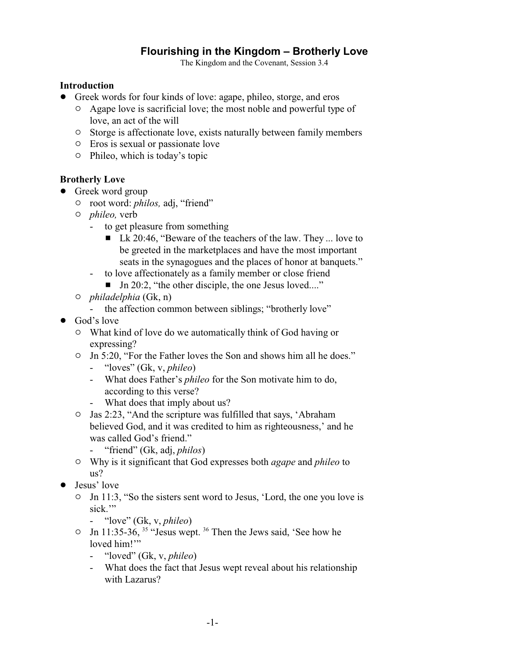# **Flourishing in the Kingdom – Brotherly Love**

The Kingdom and the Covenant, Session 3.4

#### **Introduction**

- ! Greek words for four kinds of love: agape, phileo, storge, and eros
	- <sup> $\circ$ </sup> Agape love is sacrificial love; the most noble and powerful type of love, an act of the will
	- $\circ$  Storge is affectionate love, exists naturally between family members
	- $\circ$  Eros is sexual or passionate love
	- $\circ$  Phileo, which is today's topic

### **Brotherly Love**

- Greek word group
	- $\circ$  root word: *philos*, adj, "friend"
	- " *phileo,* verb
		- to get pleasure from something
			- $\blacksquare$  Lk 20:46, "Beware of the teachers of the law. They ... love to be greeted in the marketplaces and have the most important seats in the synagogues and the places of honor at banquets."
		- to love affectionately as a family member or close friend
			- $\blacksquare$  Jn 20:2, "the other disciple, the one Jesus loved...."
	- " *philadelphia* (Gk, n)
		- the affection common between siblings; "brotherly love"
- God's love
	- <sup>o</sup> What kind of love do we automatically think of God having or expressing?
	- $\circ$  Jn 5:20, "For the Father loves the Son and shows him all he does."
		- "loves" (Gk, v, *phileo*)
		- What does Father's *phileo* for the Son motivate him to do, according to this verse?
		- What does that imply about us?
	- " Jas 2:23, "And the scripture was fulfilled that says, 'Abraham believed God, and it was credited to him as righteousness,' and he was called God's friend."
		- "friend" (Gk, adj, *philos*)
	- " Why is it significant that God expresses both *agape* and *phileo* to us?
- Jesus' love
	- <sup>o</sup> Jn 11:3, "So the sisters sent word to Jesus, 'Lord, the one you love is sick."
		- "love" (Gk, v, *phileo*)
	- $\circ$  Jn 11:35-36, <sup>35</sup> "Jesus wept. <sup>36</sup> Then the Jews said, 'See how he loved him!"
		- "loved" (Gk, v, *phileo*)
		- What does the fact that Jesus wept reveal about his relationship with Lazarus?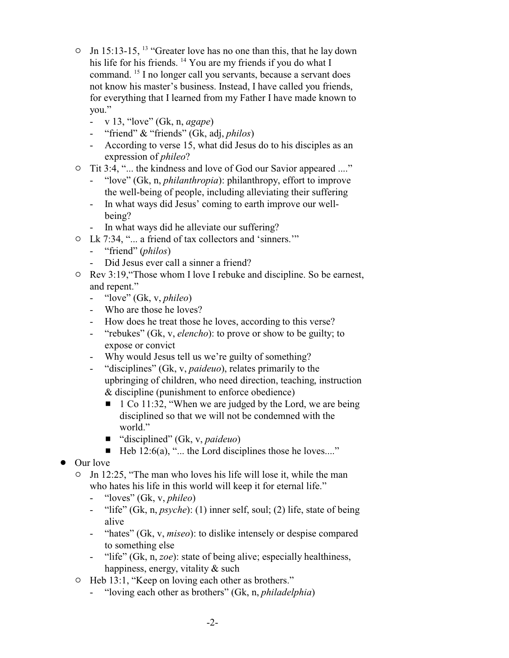- $\circ$  Jn 15:13-15, <sup>13</sup> "Greater love has no one than this, that he lay down his life for his friends. <sup>14</sup> You are my friends if you do what I command. <sup>15</sup> I no longer call you servants, because a servant does not know his master's business. Instead, I have called you friends, for everything that I learned from my Father I have made known to you."
	- v 13, "love" (Gk, n, *agape*)
	- "friend" & "friends" (Gk, adj, *philos*)
	- According to verse 15, what did Jesus do to his disciples as an expression of *phileo*?
- <sup>o</sup> Tit 3:4, "... the kindness and love of God our Savior appeared ...."
	- "love" (Gk, n, *philanthropia*): philanthropy, effort to improve the well-being of people, including alleviating their suffering
	- In what ways did Jesus' coming to earth improve our wellbeing?
	- In what ways did he alleviate our suffering?
- " Lk 7:34, "... a friend of tax collectors and 'sinners.'"
	- "friend" (*philos*)
	- Did Jesus ever call a sinner a friend?
- <sup>o</sup> Rev 3:19, "Those whom I love I rebuke and discipline. So be earnest, and repent."
	- "love" (Gk, v, *phileo*)
	- Who are those he loves?
	- How does he treat those he loves, according to this verse?
	- "rebukes" (Gk, v, *elencho*): to prove or show to be guilty; to expose or convict
	- Why would Jesus tell us we're guilty of something?
	- "disciplines" (Gk, v, *paideuo*), relates primarily to the upbringing of children, who need direction, teaching, instruction & discipline (punishment to enforce obedience)
		- $\blacksquare$  1 Co 11:32, "When we are judged by the Lord, we are being disciplined so that we will not be condemned with the world."
		- "disciplined" (Gk, v, *paideuo*)
		- $\blacksquare$  Heb 12:6(a), "... the Lord disciplines those he loves...."
- Our love
	- $\circ$  Jn 12:25, "The man who loves his life will lose it, while the man who hates his life in this world will keep it for eternal life."
		- "loves" (Gk, v, *phileo*)
		- "life" (Gk, n, *psyche*): (1) inner self, soul; (2) life, state of being alive
		- "hates" (Gk, v, *miseo*): to dislike intensely or despise compared to something else
		- "life" (Gk, n, *zoe*): state of being alive; especially healthiness, happiness, energy, vitality & such
	- $\circ$  Heb 13:1, "Keep on loving each other as brothers."
		- "loving each other as brothers" (Gk, n, *philadelphia*)